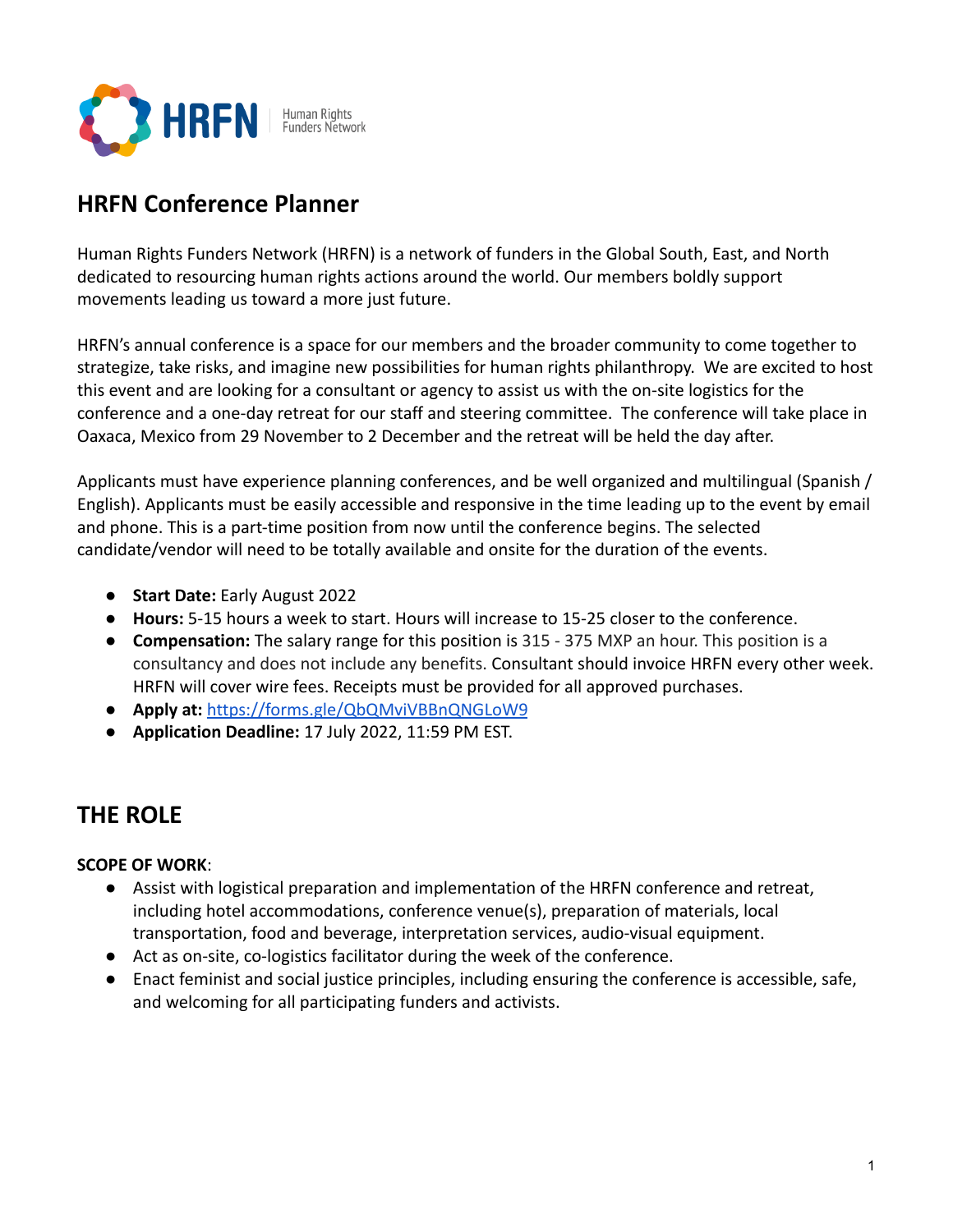

# **HRFN Conference Planner**

Human Rights Funders Network (HRFN) is a network of funders in the Global South, East, and North dedicated to resourcing human rights actions around the world. Our members boldly support movements leading us toward a more just future.

HRFN's annual conference is a space for our members and the broader community to come together to strategize, take risks, and imagine new possibilities for human rights philanthropy. We are excited to host this event and are looking for a consultant or agency to assist us with the on-site logistics for the conference and a one-day retreat for our staff and steering committee. The conference will take place in Oaxaca, Mexico from 29 November to 2 December and the retreat will be held the day after.

Applicants must have experience planning conferences, and be well organized and multilingual (Spanish / English). Applicants must be easily accessible and responsive in the time leading up to the event by email and phone. This is a part-time position from now until the conference begins. The selected candidate/vendor will need to be totally available and onsite for the duration of the events.

- **Start Date:** Early August 2022
- **Hours:** 5-15 hours a week to start. Hours will increase to 15-25 closer to the conference.
- **Compensation:** The salary range for this position is 315 375 MXP an hour. This position is a consultancy and does not include any benefits. Consultant should invoice HRFN every other week. HRFN will cover wire fees. Receipts must be provided for all approved purchases.
- **Apply at:** <https://forms.gle/QbQMviVBBnQNGLoW9>
- **Application Deadline:** 17 July 2022, 11:59 PM EST.

# **THE ROLE**

## **SCOPE OF WORK**:

- Assist with logistical preparation and implementation of the HRFN conference and retreat, including hotel accommodations, conference venue(s), preparation of materials, local transportation, food and beverage, interpretation services, audio-visual equipment.
- Act as on-site, co-logistics facilitator during the week of the conference.
- Enact feminist and social justice principles, including ensuring the conference is accessible, safe, and welcoming for all participating funders and activists.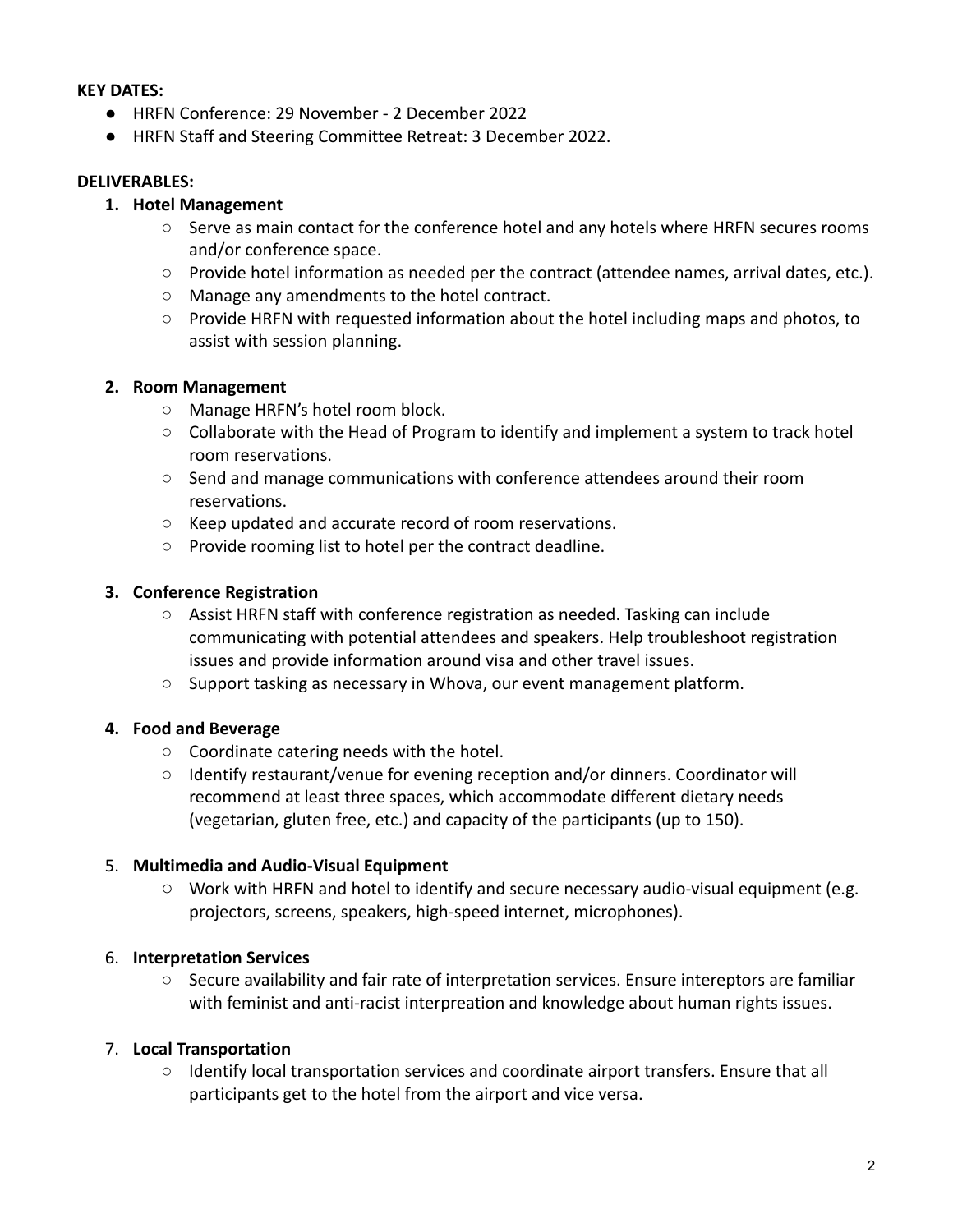#### **KEY DATES:**

- HRFN Conference: 29 November 2 December 2022
- HRFN Staff and Steering Committee Retreat: 3 December 2022.

#### **DELIVERABLES:**

#### **1. Hotel Management**

- Serve as main contact for the conference hotel and any hotels where HRFN secures rooms and/or conference space.
- Provide hotel information as needed per the contract (attendee names, arrival dates, etc.).
- Manage any amendments to the hotel contract.
- $\circ$  Provide HRFN with requested information about the hotel including maps and photos, to assist with session planning.

#### **2. Room Management**

- Manage HRFN's hotel room block.
- $\circ$  Collaborate with the Head of Program to identify and implement a system to track hotel room reservations.
- Send and manage communications with conference attendees around their room reservations.
- Keep updated and accurate record of room reservations.
- Provide rooming list to hotel per the contract deadline.

#### **3. Conference Registration**

- Assist HRFN staff with conference registration as needed. Tasking can include communicating with potential attendees and speakers. Help troubleshoot registration issues and provide information around visa and other travel issues.
- Support tasking as necessary in Whova, our event management platform.

## **4. Food and Beverage**

- **○** Coordinate catering needs with the hotel.
- **○** Identify restaurant/venue for evening reception and/or dinners. Coordinator will recommend at least three spaces, which accommodate different dietary needs (vegetarian, gluten free, etc.) and capacity of the participants (up to 150).

#### 5. **Multimedia and Audio-Visual Equipment**

○ Work with HRFN and hotel to identify and secure necessary audio-visual equipment (e.g. projectors, screens, speakers, high-speed internet, microphones).

## 6. **Interpretation Services**

○ Secure availability and fair rate of interpretation services. Ensure intereptors are familiar with feminist and anti-racist interpreation and knowledge about human rights issues.

## 7. **Local Transportation**

○ Identify local transportation services and coordinate airport transfers. Ensure that all participants get to the hotel from the airport and vice versa.